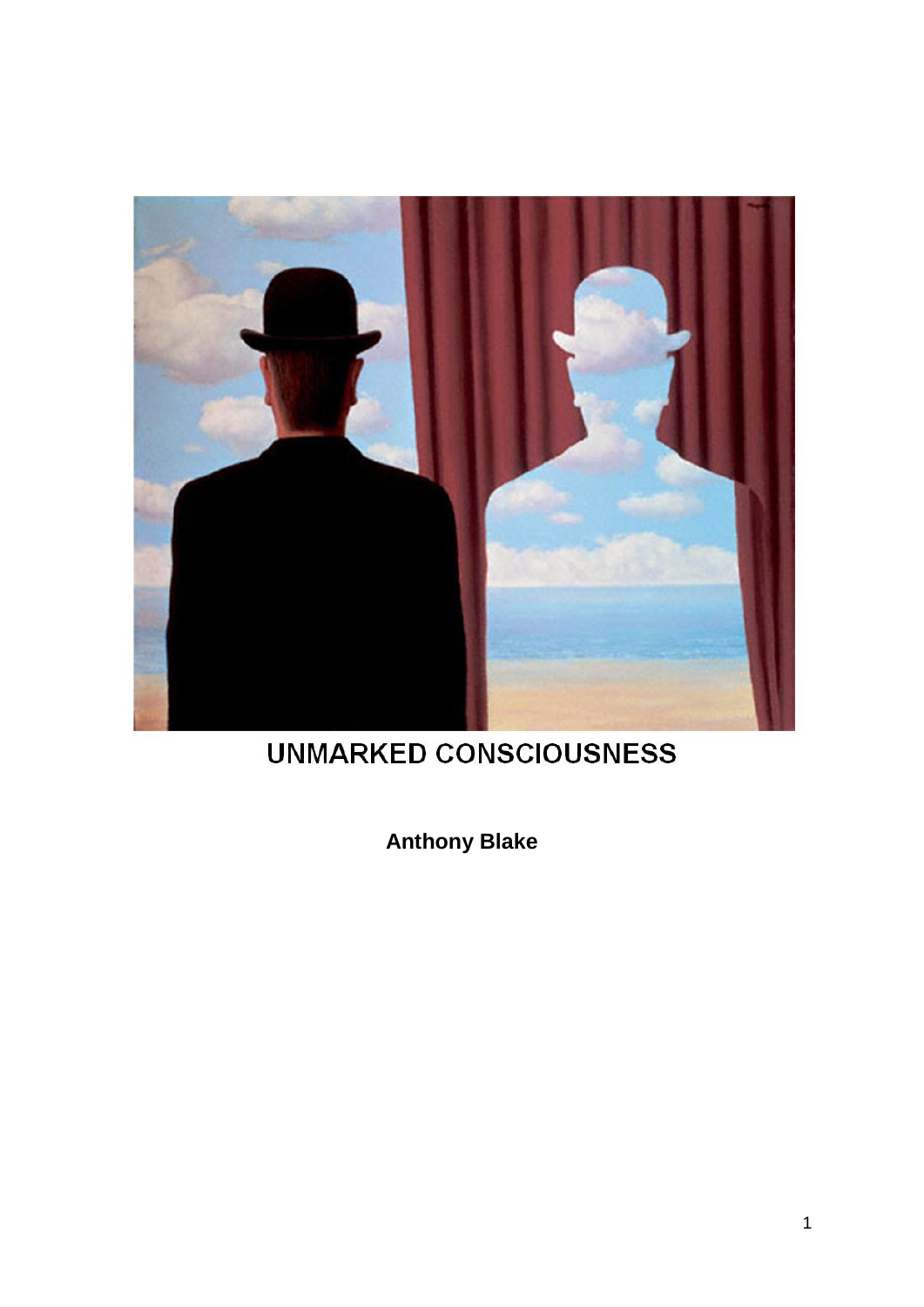

# **UNMARKED CONSCIOUSNESS**

**Anthony Blake**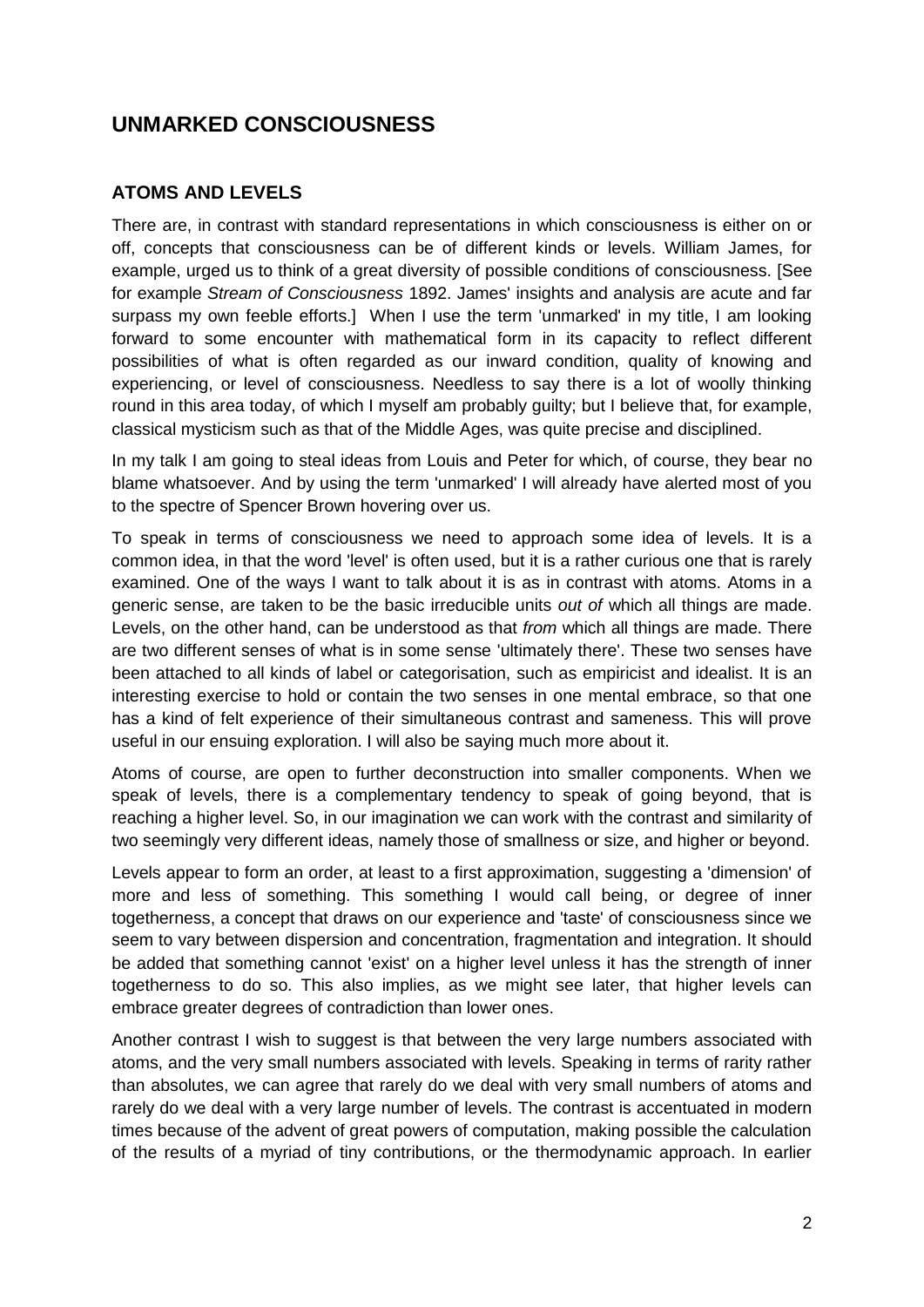# **UNMARKED CONSCIOUSNESS**

# **ATOMS AND LEVELS**

There are, in contrast with standard representations in which consciousness is either on or off, concepts that consciousness can be of different kinds or levels. William James, for example, urged us to think of a great diversity of possible conditions of consciousness. [See for example *Stream of Consciousness* 1892. James' insights and analysis are acute and far surpass my own feeble efforts.] When I use the term 'unmarked' in my title, I am looking forward to some encounter with mathematical form in its capacity to reflect different possibilities of what is often regarded as our inward condition, quality of knowing and experiencing, or level of consciousness. Needless to say there is a lot of woolly thinking round in this area today, of which I myself am probably guilty; but I believe that, for example, classical mysticism such as that of the Middle Ages, was quite precise and disciplined.

In my talk I am going to steal ideas from Louis and Peter for which, of course, they bear no blame whatsoever. And by using the term 'unmarked' I will already have alerted most of you to the spectre of Spencer Brown hovering over us.

To speak in terms of consciousness we need to approach some idea of levels. It is a common idea, in that the word 'level' is often used, but it is a rather curious one that is rarely examined. One of the ways I want to talk about it is as in contrast with atoms. Atoms in a generic sense, are taken to be the basic irreducible units *out of* which all things are made. Levels, on the other hand, can be understood as that *from* which all things are made. There are two different senses of what is in some sense 'ultimately there'. These two senses have been attached to all kinds of label or categorisation, such as empiricist and idealist. It is an interesting exercise to hold or contain the two senses in one mental embrace, so that one has a kind of felt experience of their simultaneous contrast and sameness. This will prove useful in our ensuing exploration. I will also be saying much more about it.

Atoms of course, are open to further deconstruction into smaller components. When we speak of levels, there is a complementary tendency to speak of going beyond, that is reaching a higher level. So, in our imagination we can work with the contrast and similarity of two seemingly very different ideas, namely those of smallness or size, and higher or beyond.

Levels appear to form an order, at least to a first approximation, suggesting a 'dimension' of more and less of something. This something I would call being, or degree of inner togetherness, a concept that draws on our experience and 'taste' of consciousness since we seem to vary between dispersion and concentration, fragmentation and integration. It should be added that something cannot 'exist' on a higher level unless it has the strength of inner togetherness to do so. This also implies, as we might see later, that higher levels can embrace greater degrees of contradiction than lower ones.

Another contrast I wish to suggest is that between the very large numbers associated with atoms, and the very small numbers associated with levels. Speaking in terms of rarity rather than absolutes, we can agree that rarely do we deal with very small numbers of atoms and rarely do we deal with a very large number of levels. The contrast is accentuated in modern times because of the advent of great powers of computation, making possible the calculation of the results of a myriad of tiny contributions, or the thermodynamic approach. In earlier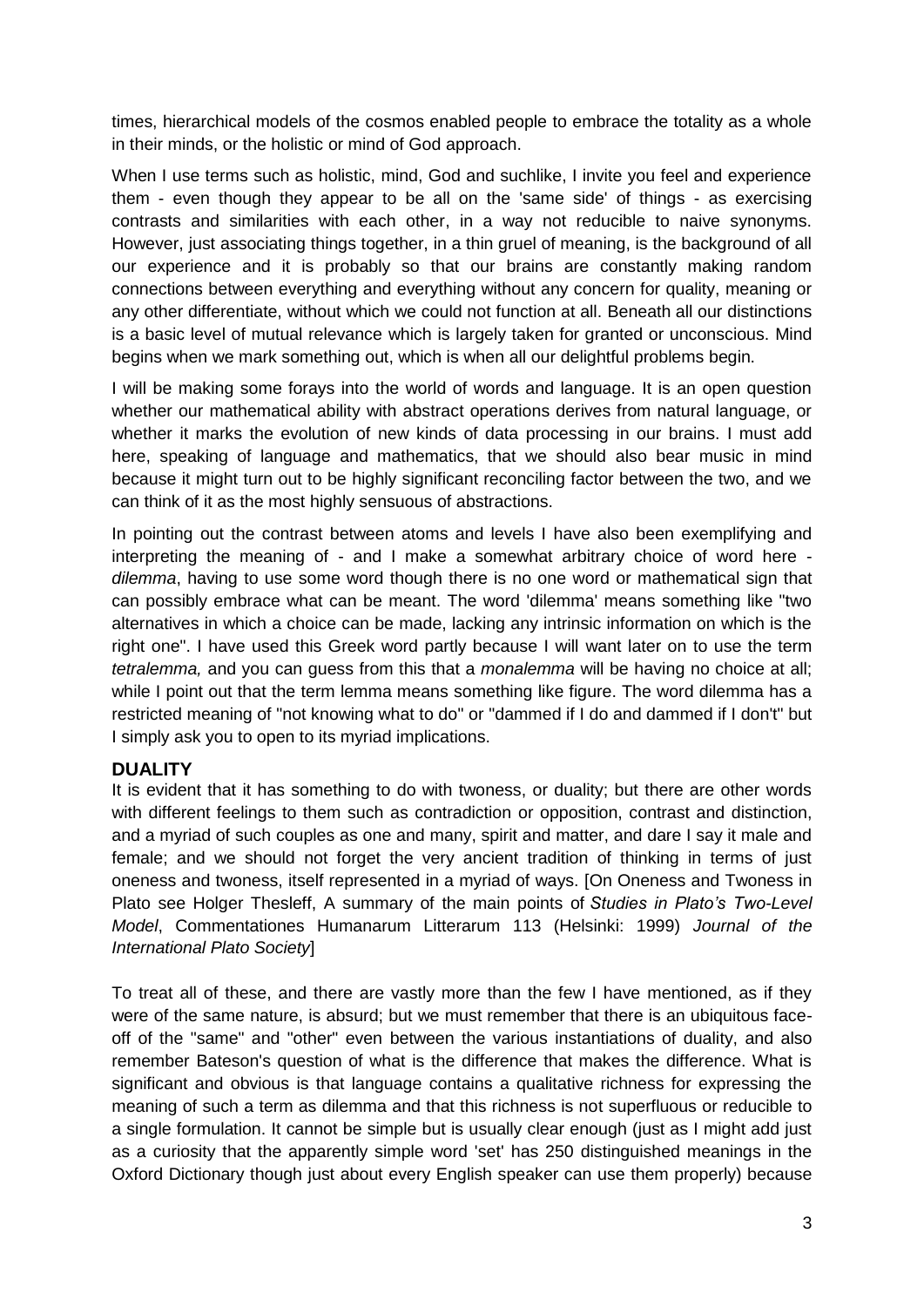times, hierarchical models of the cosmos enabled people to embrace the totality as a whole in their minds, or the holistic or mind of God approach.

When I use terms such as holistic, mind, God and suchlike, I invite you feel and experience them - even though they appear to be all on the 'same side' of things - as exercising contrasts and similarities with each other, in a way not reducible to naive synonyms. However, just associating things together, in a thin gruel of meaning, is the background of all our experience and it is probably so that our brains are constantly making random connections between everything and everything without any concern for quality, meaning or any other differentiate, without which we could not function at all. Beneath all our distinctions is a basic level of mutual relevance which is largely taken for granted or unconscious. Mind begins when we mark something out, which is when all our delightful problems begin.

I will be making some forays into the world of words and language. It is an open question whether our mathematical ability with abstract operations derives from natural language, or whether it marks the evolution of new kinds of data processing in our brains. I must add here, speaking of language and mathematics, that we should also bear music in mind because it might turn out to be highly significant reconciling factor between the two, and we can think of it as the most highly sensuous of abstractions.

In pointing out the contrast between atoms and levels I have also been exemplifying and interpreting the meaning of - and I make a somewhat arbitrary choice of word here *dilemma*, having to use some word though there is no one word or mathematical sign that can possibly embrace what can be meant. The word 'dilemma' means something like "two alternatives in which a choice can be made, lacking any intrinsic information on which is the right one". I have used this Greek word partly because I will want later on to use the term *tetralemma,* and you can guess from this that a *monalemma* will be having no choice at all; while I point out that the term lemma means something like figure. The word dilemma has a restricted meaning of "not knowing what to do" or "dammed if I do and dammed if I don't" but I simply ask you to open to its myriad implications.

## **DUALITY**

It is evident that it has something to do with twoness, or duality; but there are other words with different feelings to them such as contradiction or opposition, contrast and distinction, and a myriad of such couples as one and many, spirit and matter, and dare I say it male and female; and we should not forget the very ancient tradition of thinking in terms of just oneness and twoness, itself represented in a myriad of ways. [On Oneness and Twoness in Plato see Holger Thesleff, A summary of the main points of *Studies in Plato's Two-Level Model*, Commentationes Humanarum Litterarum 113 (Helsinki: 1999) *Journal of the International Plato Society*]

To treat all of these, and there are vastly more than the few I have mentioned, as if they were of the same nature, is absurd; but we must remember that there is an ubiquitous faceoff of the "same" and "other" even between the various instantiations of duality, and also remember Bateson's question of what is the difference that makes the difference. What is significant and obvious is that language contains a qualitative richness for expressing the meaning of such a term as dilemma and that this richness is not superfluous or reducible to a single formulation. It cannot be simple but is usually clear enough (just as I might add just as a curiosity that the apparently simple word 'set' has 250 distinguished meanings in the Oxford Dictionary though just about every English speaker can use them properly) because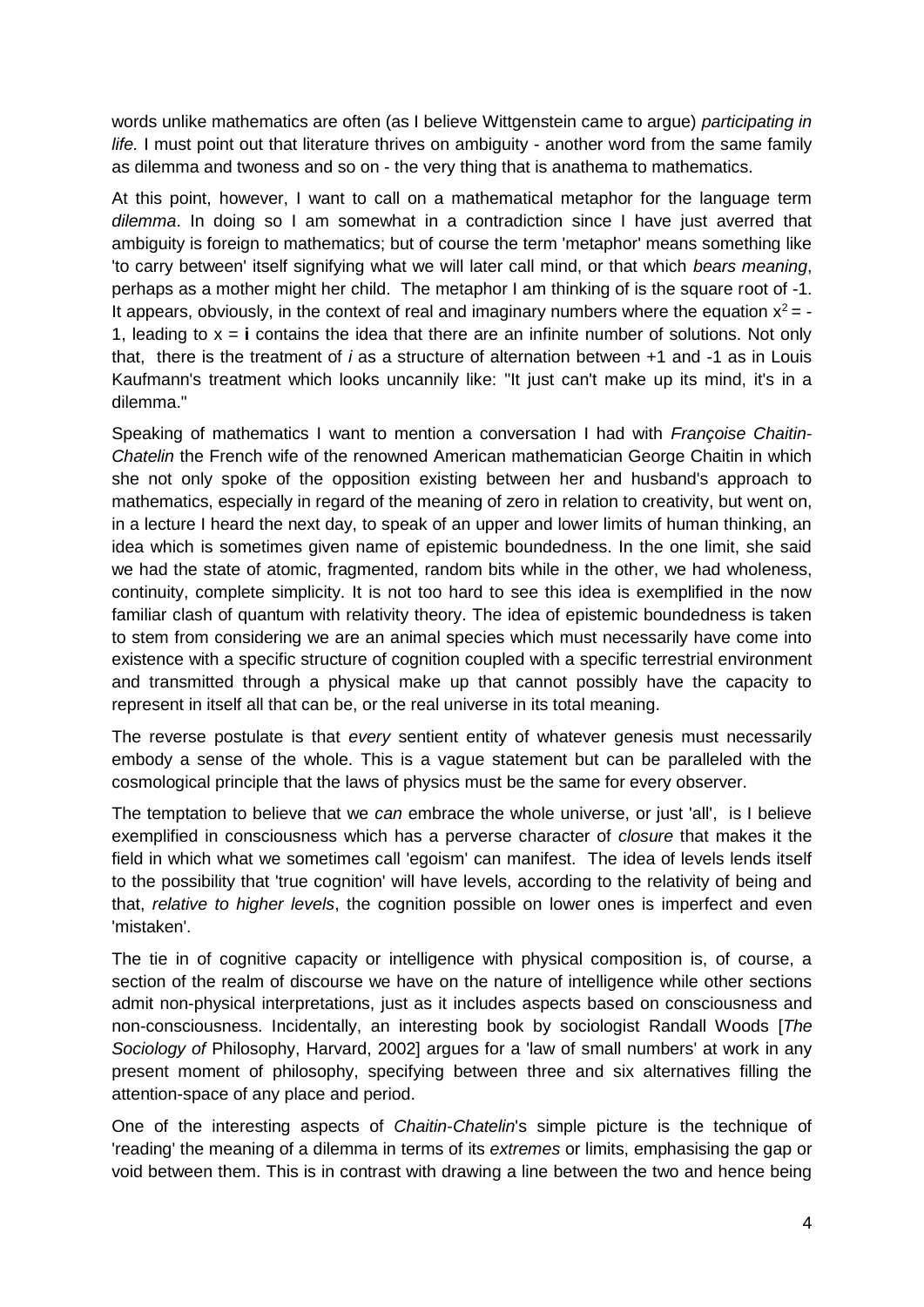words unlike mathematics are often (as I believe Wittgenstein came to argue) *participating in life.* I must point out that literature thrives on ambiguity - another word from the same family as dilemma and twoness and so on - the very thing that is anathema to mathematics.

At this point, however, I want to call on a mathematical metaphor for the language term *dilemma*. In doing so I am somewhat in a contradiction since I have just averred that ambiguity is foreign to mathematics; but of course the term 'metaphor' means something like 'to carry between' itself signifying what we will later call mind, or that which *bears meaning*, perhaps as a mother might her child. The metaphor I am thinking of is the square root of -1. It appears, obviously, in the context of real and imaginary numbers where the equation  $x^2 = -$ 1, leading to x = **i** contains the idea that there are an infinite number of solutions. Not only that, there is the treatment of *i* as a structure of alternation between +1 and -1 as in Louis Kaufmann's treatment which looks uncannily like: "It just can't make up its mind, it's in a dilemma."

Speaking of mathematics I want to mention a conversation I had with *Françoise Chaitin*-*Chatelin* the French wife of the renowned American mathematician George Chaitin in which she not only spoke of the opposition existing between her and husband's approach to mathematics, especially in regard of the meaning of zero in relation to creativity, but went on, in a lecture I heard the next day, to speak of an upper and lower limits of human thinking, an idea which is sometimes given name of epistemic boundedness. In the one limit, she said we had the state of atomic, fragmented, random bits while in the other, we had wholeness, continuity, complete simplicity. It is not too hard to see this idea is exemplified in the now familiar clash of quantum with relativity theory. The idea of epistemic boundedness is taken to stem from considering we are an animal species which must necessarily have come into existence with a specific structure of cognition coupled with a specific terrestrial environment and transmitted through a physical make up that cannot possibly have the capacity to represent in itself all that can be, or the real universe in its total meaning.

The reverse postulate is that *every* sentient entity of whatever genesis must necessarily embody a sense of the whole. This is a vague statement but can be paralleled with the cosmological principle that the laws of physics must be the same for every observer.

The temptation to believe that we *can* embrace the whole universe, or just 'all', is I believe exemplified in consciousness which has a perverse character of *closure* that makes it the field in which what we sometimes call 'egoism' can manifest. The idea of levels lends itself to the possibility that 'true cognition' will have levels, according to the relativity of being and that, *relative to higher levels*, the cognition possible on lower ones is imperfect and even 'mistaken'.

The tie in of cognitive capacity or intelligence with physical composition is, of course, a section of the realm of discourse we have on the nature of intelligence while other sections admit non-physical interpretations, just as it includes aspects based on consciousness and non-consciousness. Incidentally, an interesting book by sociologist Randall Woods [*The Sociology of* Philosophy, Harvard, 2002] argues for a 'law of small numbers' at work in any present moment of philosophy, specifying between three and six alternatives filling the attention-space of any place and period.

One of the interesting aspects of *Chaitin*-*Chatelin*'s simple picture is the technique of 'reading' the meaning of a dilemma in terms of its *extremes* or limits, emphasising the gap or void between them. This is in contrast with drawing a line between the two and hence being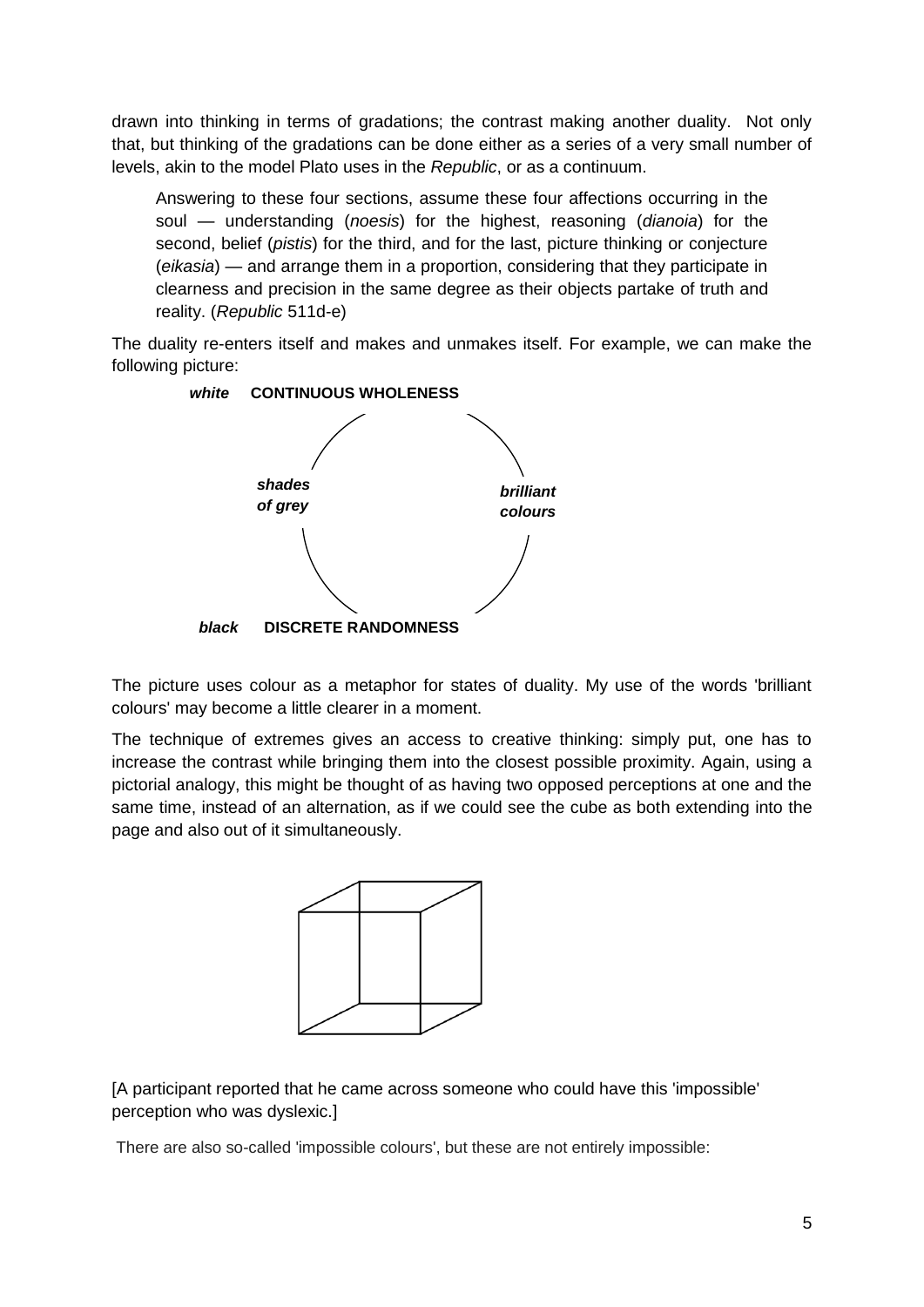drawn into thinking in terms of gradations; the contrast making another duality. Not only that, but thinking of the gradations can be done either as a series of a very small number of levels, akin to the model Plato uses in the *Republic*, or as a continuum.

Answering to these four sections, assume these four affections occurring in the soul — understanding (*noesis*) for the highest, reasoning (*dianoia*) for the second, belief (*pistis*) for the third, and for the last, picture thinking or conjecture (*eikasia*) — and arrange them in a proportion, considering that they participate in clearness and precision in the same degree as their objects partake of truth and reality. (*Republic* 511d-e)

The duality re-enters itself and makes and unmakes itself. For example, we can make the following picture:



The picture uses colour as a metaphor for states of duality. My use of the words 'brilliant colours' may become a little clearer in a moment.

The technique of extremes gives an access to creative thinking: simply put, one has to increase the contrast while bringing them into the closest possible proximity. Again, using a pictorial analogy, this might be thought of as having two opposed perceptions at one and the same time, instead of an alternation, as if we could see the cube as both extending into the page and also out of it simultaneously.



[A participant reported that he came across someone who could have this 'impossible' perception who was dyslexic.]

There are also so-called 'impossible colours', but these are not entirely impossible: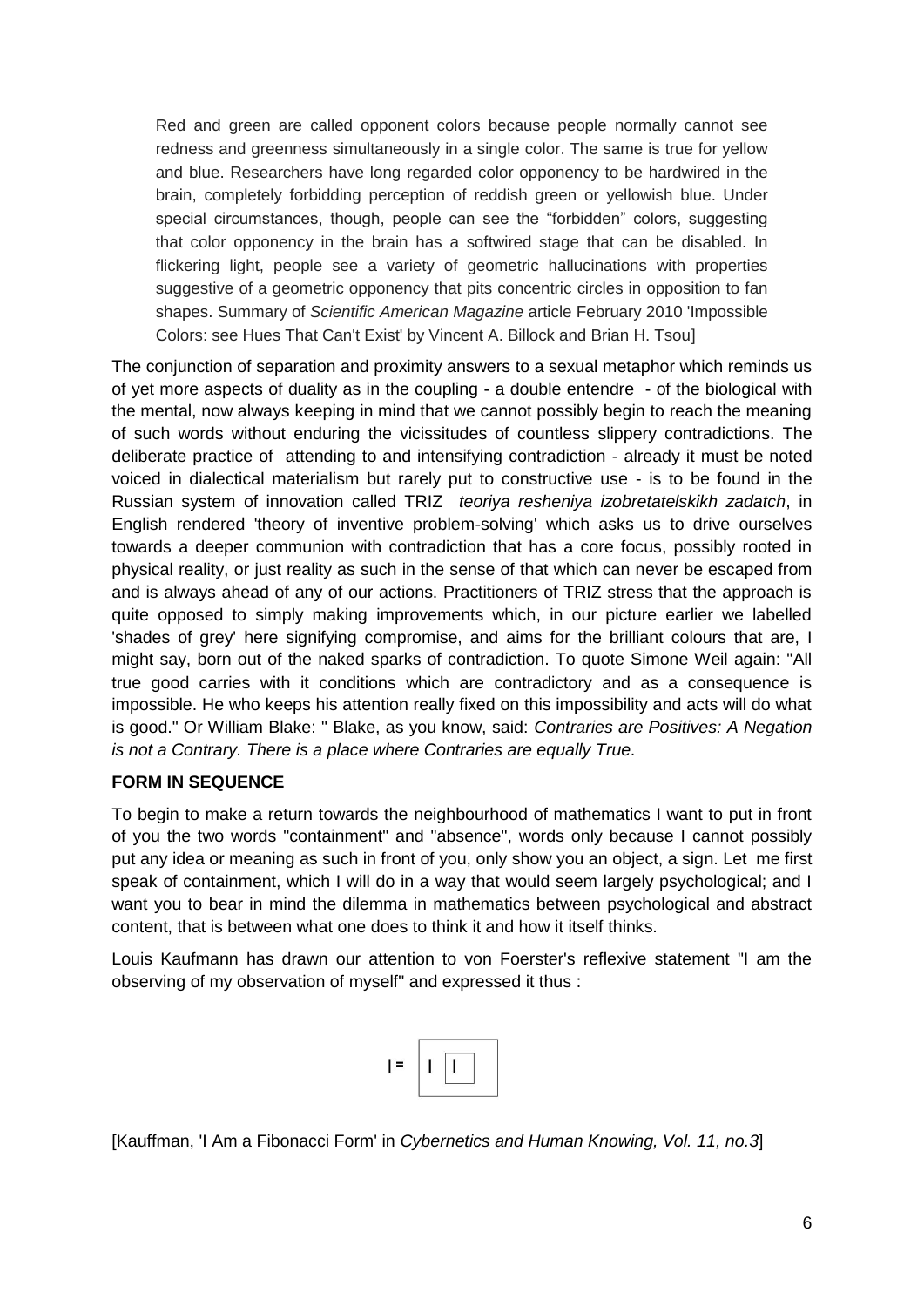Red and green are called opponent colors because people normally cannot see redness and greenness simultaneously in a single color. The same is true for yellow and blue. Researchers have long regarded color opponency to be hardwired in the brain, completely forbidding perception of reddish green or yellowish blue. Under special circumstances, though, people can see the "forbidden" colors, suggesting that color opponency in the brain has a softwired stage that can be disabled. In flickering light, people see a variety of geometric hallucinations with properties suggestive of a geometric opponency that pits concentric circles in opposition to fan shapes. Summary of *Scientific American Magazine* article February 2010 'Impossible Colors: see Hues That Can't Exist' by Vincent A. Billock and Brian H. Tsou]

The conjunction of separation and proximity answers to a sexual metaphor which reminds us of yet more aspects of duality as in the coupling - a double entendre - of the biological with the mental, now always keeping in mind that we cannot possibly begin to reach the meaning of such words without enduring the vicissitudes of countless slippery contradictions. The deliberate practice of attending to and intensifying contradiction - already it must be noted voiced in dialectical materialism but rarely put to constructive use - is to be found in the Russian system of innovation called TRIZ *teoriya resheniya izobretatelskikh zadatch*, in English rendered 'theory of inventive problem-solving' which asks us to drive ourselves towards a deeper communion with contradiction that has a core focus, possibly rooted in physical reality, or just reality as such in the sense of that which can never be escaped from and is always ahead of any of our actions. Practitioners of TRIZ stress that the approach is quite opposed to simply making improvements which, in our picture earlier we labelled 'shades of grey' here signifying compromise, and aims for the brilliant colours that are, I might say, born out of the naked sparks of contradiction. To quote Simone Weil again: "All true good carries with it conditions which are contradictory and as a consequence is impossible. He who keeps his attention really fixed on this impossibility and acts will do what is good." Or William Blake: " Blake, as you know, said: *Contraries are Positives: A Negation is not a Contrary. There is a place where Contraries are equally True.*

#### **FORM IN SEQUENCE**

To begin to make a return towards the neighbourhood of mathematics I want to put in front of you the two words "containment" and "absence", words only because I cannot possibly put any idea or meaning as such in front of you, only show you an object, a sign. Let me first speak of containment, which I will do in a way that would seem largely psychological; and I want you to bear in mind the dilemma in mathematics between psychological and abstract content, that is between what one does to think it and how it itself thinks.

Louis Kaufmann has drawn our attention to von Foerster's reflexive statement "I am the observing of my observation of myself" and expressed it thus :

| 72 |   |                       |  |
|----|---|-----------------------|--|
|    | ٠ | î<br>.<br>٠<br>٠<br>w |  |

[Kauffman, 'I Am a Fibonacci Form' in *Cybernetics and Human Knowing, Vol. 11, no.3*]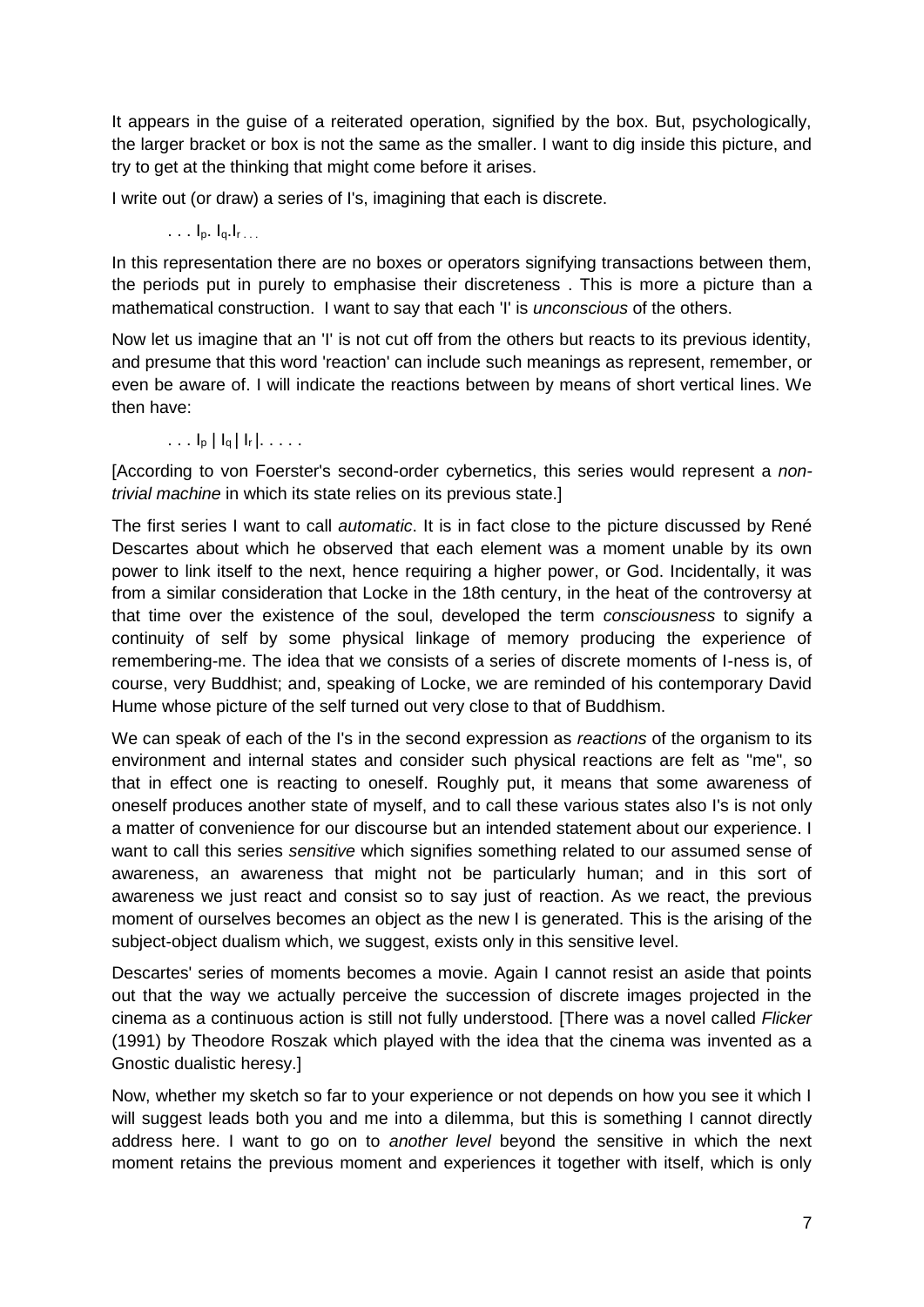It appears in the guise of a reiterated operation, signified by the box. But, psychologically, the larger bracket or box is not the same as the smaller. I want to dig inside this picture, and try to get at the thinking that might come before it arises.

I write out (or draw) a series of I's, imagining that each is discrete.

. . . Ip. Iq.Ir . . .

In this representation there are no boxes or operators signifying transactions between them, the periods put in purely to emphasise their discreteness . This is more a picture than a mathematical construction. I want to say that each 'I' is *unconscious* of the others.

Now let us imagine that an 'I' is not cut off from the others but reacts to its previous identity, and presume that this word 'reaction' can include such meanings as represent, remember, or even be aware of. I will indicate the reactions between by means of short vertical lines. We then have:

. . .  $I_p | I_q | I_r |$ . . . . .

[According to von Foerster's second-order cybernetics, this series would represent a *nontrivial machine* in which its state relies on its previous state.]

The first series I want to call *automatic*. It is in fact close to the picture discussed by René Descartes about which he observed that each element was a moment unable by its own power to link itself to the next, hence requiring a higher power, or God. Incidentally, it was from a similar consideration that Locke in the 18th century, in the heat of the controversy at that time over the existence of the soul, developed the term *consciousness* to signify a continuity of self by some physical linkage of memory producing the experience of remembering-me. The idea that we consists of a series of discrete moments of I-ness is, of course, very Buddhist; and, speaking of Locke, we are reminded of his contemporary David Hume whose picture of the self turned out very close to that of Buddhism.

We can speak of each of the I's in the second expression as *reactions* of the organism to its environment and internal states and consider such physical reactions are felt as "me", so that in effect one is reacting to oneself. Roughly put, it means that some awareness of oneself produces another state of myself, and to call these various states also I's is not only a matter of convenience for our discourse but an intended statement about our experience. I want to call this series *sensitive* which signifies something related to our assumed sense of awareness, an awareness that might not be particularly human; and in this sort of awareness we just react and consist so to say just of reaction. As we react, the previous moment of ourselves becomes an object as the new I is generated. This is the arising of the subject-object dualism which, we suggest, exists only in this sensitive level.

Descartes' series of moments becomes a movie. Again I cannot resist an aside that points out that the way we actually perceive the succession of discrete images projected in the cinema as a continuous action is still not fully understood. [There was a novel called *Flicker* (1991) by Theodore Roszak which played with the idea that the cinema was invented as a Gnostic dualistic heresy.]

Now, whether my sketch so far to your experience or not depends on how you see it which I will suggest leads both you and me into a dilemma, but this is something I cannot directly address here. I want to go on to *another level* beyond the sensitive in which the next moment retains the previous moment and experiences it together with itself, which is only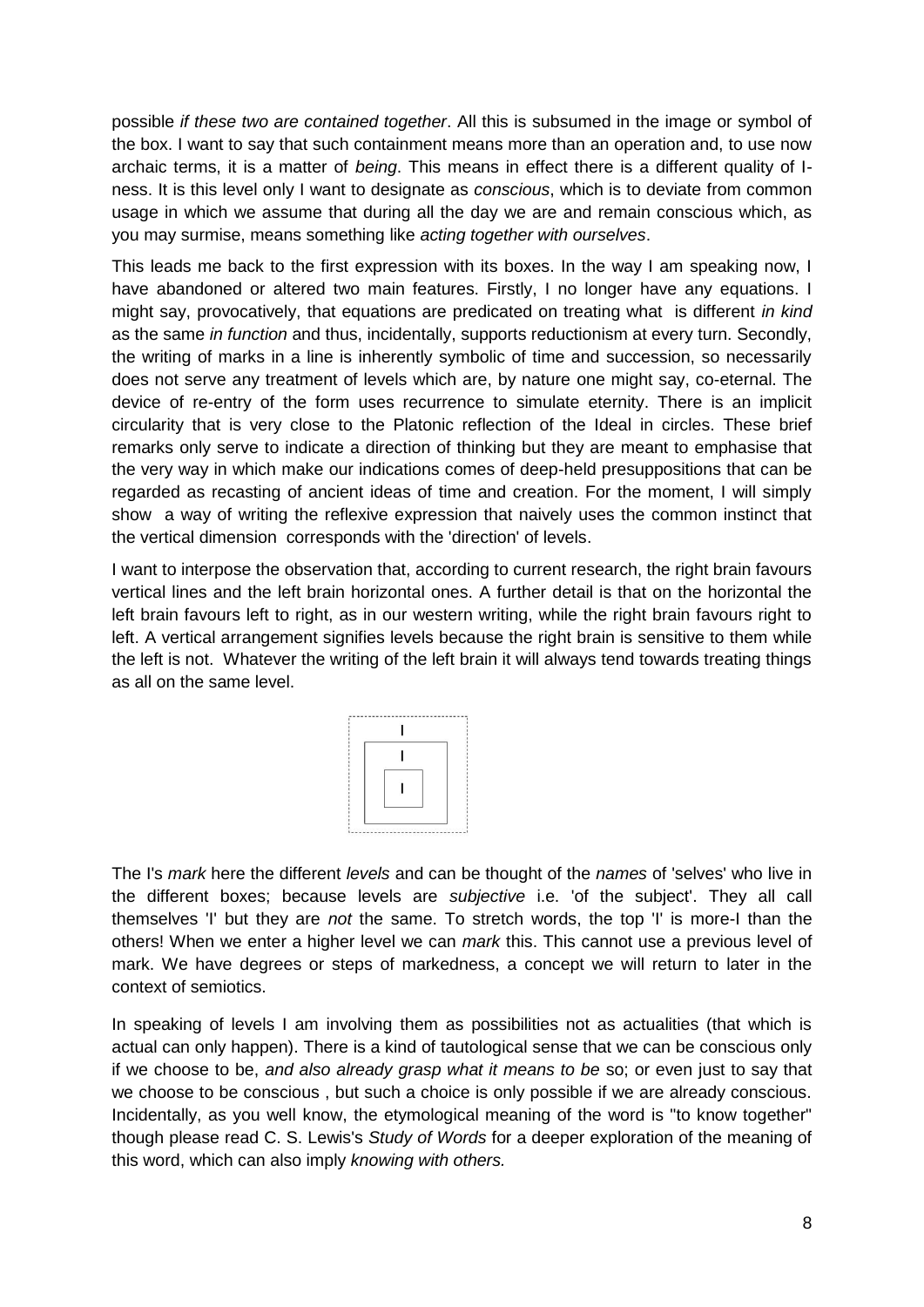possible *if these two are contained together*. All this is subsumed in the image or symbol of the box. I want to say that such containment means more than an operation and, to use now archaic terms, it is a matter of *being*. This means in effect there is a different quality of Iness. It is this level only I want to designate as *conscious*, which is to deviate from common usage in which we assume that during all the day we are and remain conscious which, as you may surmise, means something like *acting together with ourselves*.

This leads me back to the first expression with its boxes. In the way I am speaking now, I have abandoned or altered two main features. Firstly, I no longer have any equations. I might say, provocatively, that equations are predicated on treating what is different *in kind*  as the same *in function* and thus, incidentally, supports reductionism at every turn. Secondly, the writing of marks in a line is inherently symbolic of time and succession, so necessarily does not serve any treatment of levels which are, by nature one might say, co-eternal. The device of re-entry of the form uses recurrence to simulate eternity. There is an implicit circularity that is very close to the Platonic reflection of the Ideal in circles. These brief remarks only serve to indicate a direction of thinking but they are meant to emphasise that the very way in which make our indications comes of deep-held presuppositions that can be regarded as recasting of ancient ideas of time and creation. For the moment, I will simply show a way of writing the reflexive expression that naively uses the common instinct that the vertical dimension corresponds with the 'direction' of levels.

I want to interpose the observation that, according to current research, the right brain favours vertical lines and the left brain horizontal ones. A further detail is that on the horizontal the left brain favours left to right, as in our western writing, while the right brain favours right to left. A vertical arrangement signifies levels because the right brain is sensitive to them while the left is not. Whatever the writing of the left brain it will always tend towards treating things as all on the same level.



The I's *mark* here the different *levels* and can be thought of the *names* of 'selves' who live in the different boxes; because levels are *subjective* i.e. 'of the subject'. They all call themselves 'I' but they are *not* the same. To stretch words, the top 'I' is more-I than the others! When we enter a higher level we can *mark* this. This cannot use a previous level of mark. We have degrees or steps of markedness, a concept we will return to later in the context of semiotics.

In speaking of levels I am involving them as possibilities not as actualities (that which is actual can only happen). There is a kind of tautological sense that we can be conscious only if we choose to be, *and also already grasp what it means to be* so; or even just to say that we choose to be conscious , but such a choice is only possible if we are already conscious. Incidentally, as you well know, the etymological meaning of the word is "to know together" though please read C. S. Lewis's *Study of Words* for a deeper exploration of the meaning of this word, which can also imply *knowing with others.*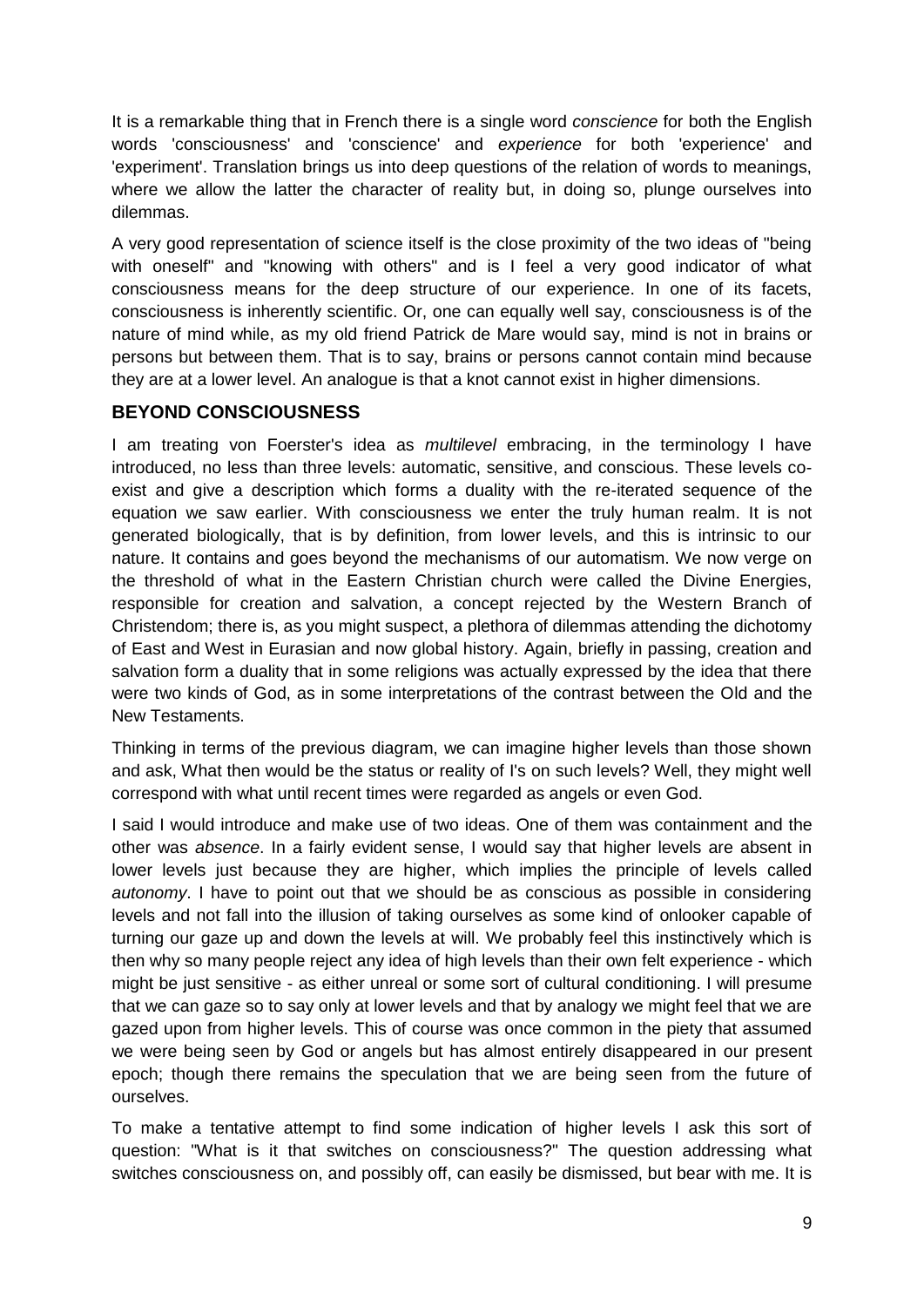It is a remarkable thing that in French there is a single word *conscience* for both the English words 'consciousness' and 'conscience' and *experience* for both 'experience' and 'experiment'. Translation brings us into deep questions of the relation of words to meanings, where we allow the latter the character of reality but, in doing so, plunge ourselves into dilemmas.

A very good representation of science itself is the close proximity of the two ideas of "being with oneself" and "knowing with others" and is I feel a very good indicator of what consciousness means for the deep structure of our experience. In one of its facets, consciousness is inherently scientific. Or, one can equally well say, consciousness is of the nature of mind while, as my old friend Patrick de Mare would say, mind is not in brains or persons but between them. That is to say, brains or persons cannot contain mind because they are at a lower level. An analogue is that a knot cannot exist in higher dimensions.

# **BEYOND CONSCIOUSNESS**

I am treating von Foerster's idea as *multilevel* embracing, in the terminology I have introduced, no less than three levels: automatic, sensitive, and conscious. These levels coexist and give a description which forms a duality with the re-iterated sequence of the equation we saw earlier. With consciousness we enter the truly human realm. It is not generated biologically, that is by definition, from lower levels, and this is intrinsic to our nature. It contains and goes beyond the mechanisms of our automatism. We now verge on the threshold of what in the Eastern Christian church were called the Divine Energies, responsible for creation and salvation, a concept rejected by the Western Branch of Christendom; there is, as you might suspect, a plethora of dilemmas attending the dichotomy of East and West in Eurasian and now global history. Again, briefly in passing, creation and salvation form a duality that in some religions was actually expressed by the idea that there were two kinds of God, as in some interpretations of the contrast between the Old and the New Testaments.

Thinking in terms of the previous diagram, we can imagine higher levels than those shown and ask, What then would be the status or reality of I's on such levels? Well, they might well correspond with what until recent times were regarded as angels or even God.

I said I would introduce and make use of two ideas. One of them was containment and the other was *absence*. In a fairly evident sense, I would say that higher levels are absent in lower levels just because they are higher, which implies the principle of levels called *autonomy*. I have to point out that we should be as conscious as possible in considering levels and not fall into the illusion of taking ourselves as some kind of onlooker capable of turning our gaze up and down the levels at will. We probably feel this instinctively which is then why so many people reject any idea of high levels than their own felt experience - which might be just sensitive - as either unreal or some sort of cultural conditioning. I will presume that we can gaze so to say only at lower levels and that by analogy we might feel that we are gazed upon from higher levels. This of course was once common in the piety that assumed we were being seen by God or angels but has almost entirely disappeared in our present epoch; though there remains the speculation that we are being seen from the future of ourselves.

To make a tentative attempt to find some indication of higher levels I ask this sort of question: "What is it that switches on consciousness?" The question addressing what switches consciousness on, and possibly off, can easily be dismissed, but bear with me. It is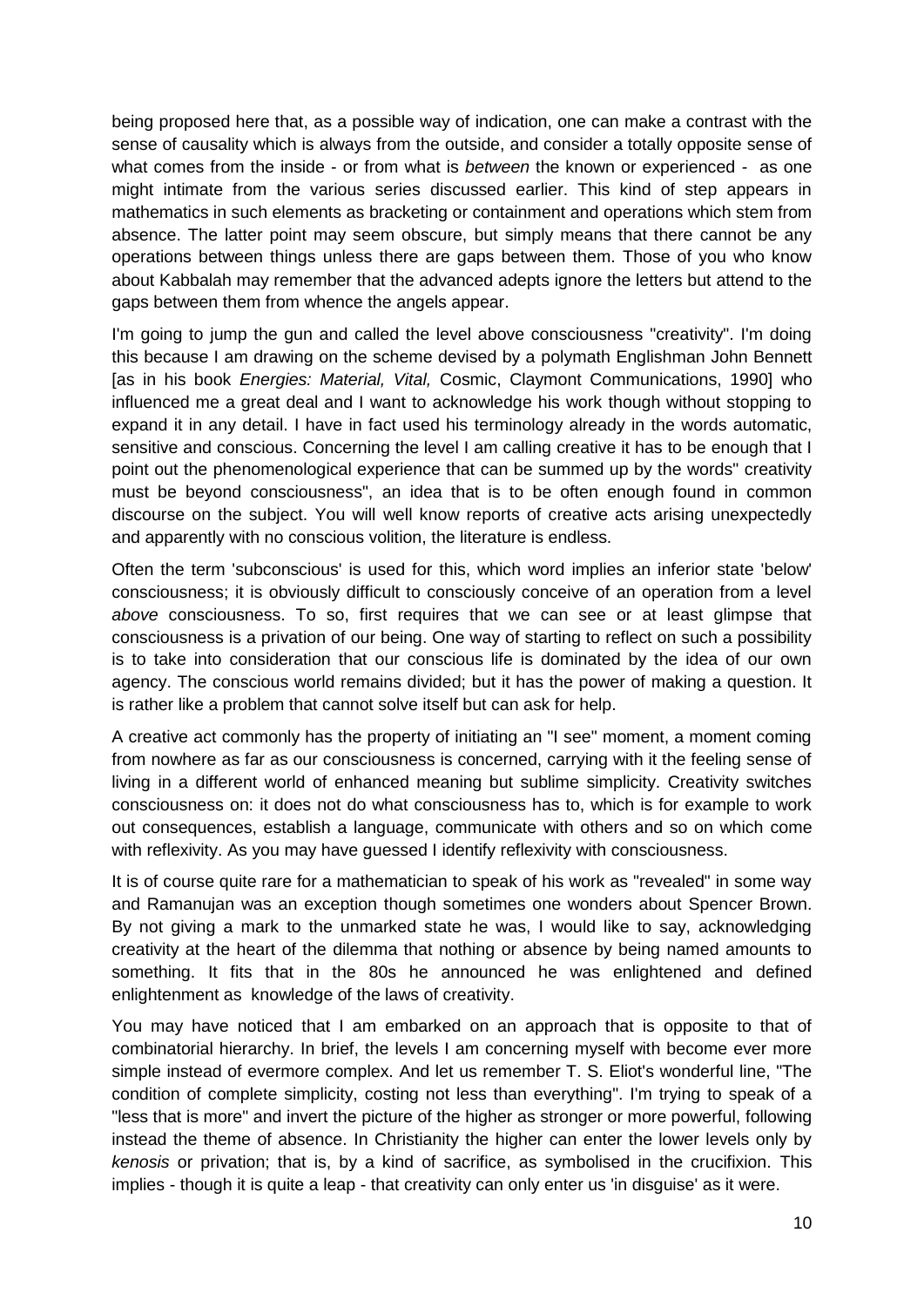being proposed here that, as a possible way of indication, one can make a contrast with the sense of causality which is always from the outside, and consider a totally opposite sense of what comes from the inside - or from what is *between* the known or experienced *-* as one might intimate from the various series discussed earlier. This kind of step appears in mathematics in such elements as bracketing or containment and operations which stem from absence. The latter point may seem obscure, but simply means that there cannot be any operations between things unless there are gaps between them. Those of you who know about Kabbalah may remember that the advanced adepts ignore the letters but attend to the gaps between them from whence the angels appear.

I'm going to jump the gun and called the level above consciousness "creativity". I'm doing this because I am drawing on the scheme devised by a polymath Englishman John Bennett [as in his book *Energies: Material, Vital,* Cosmic, Claymont Communications, 1990] who influenced me a great deal and I want to acknowledge his work though without stopping to expand it in any detail. I have in fact used his terminology already in the words automatic, sensitive and conscious. Concerning the level I am calling creative it has to be enough that I point out the phenomenological experience that can be summed up by the words" creativity must be beyond consciousness", an idea that is to be often enough found in common discourse on the subject. You will well know reports of creative acts arising unexpectedly and apparently with no conscious volition, the literature is endless.

Often the term 'subconscious' is used for this, which word implies an inferior state 'below' consciousness; it is obviously difficult to consciously conceive of an operation from a level *above* consciousness. To so, first requires that we can see or at least glimpse that consciousness is a privation of our being. One way of starting to reflect on such a possibility is to take into consideration that our conscious life is dominated by the idea of our own agency. The conscious world remains divided; but it has the power of making a question. It is rather like a problem that cannot solve itself but can ask for help.

A creative act commonly has the property of initiating an "I see" moment, a moment coming from nowhere as far as our consciousness is concerned, carrying with it the feeling sense of living in a different world of enhanced meaning but sublime simplicity. Creativity switches consciousness on: it does not do what consciousness has to, which is for example to work out consequences, establish a language, communicate with others and so on which come with reflexivity. As you may have guessed I identify reflexivity with consciousness.

It is of course quite rare for a mathematician to speak of his work as "revealed" in some way and Ramanujan was an exception though sometimes one wonders about Spencer Brown. By not giving a mark to the unmarked state he was, I would like to say, acknowledging creativity at the heart of the dilemma that nothing or absence by being named amounts to something. It fits that in the 80s he announced he was enlightened and defined enlightenment as knowledge of the laws of creativity.

You may have noticed that I am embarked on an approach that is opposite to that of combinatorial hierarchy. In brief, the levels I am concerning myself with become ever more simple instead of evermore complex. And let us remember T. S. Eliot's wonderful line, "The condition of complete simplicity, costing not less than everything". I'm trying to speak of a "less that is more" and invert the picture of the higher as stronger or more powerful, following instead the theme of absence. In Christianity the higher can enter the lower levels only by *kenosis* or privation; that is, by a kind of sacrifice, as symbolised in the crucifixion. This implies - though it is quite a leap - that creativity can only enter us 'in disguise' as it were.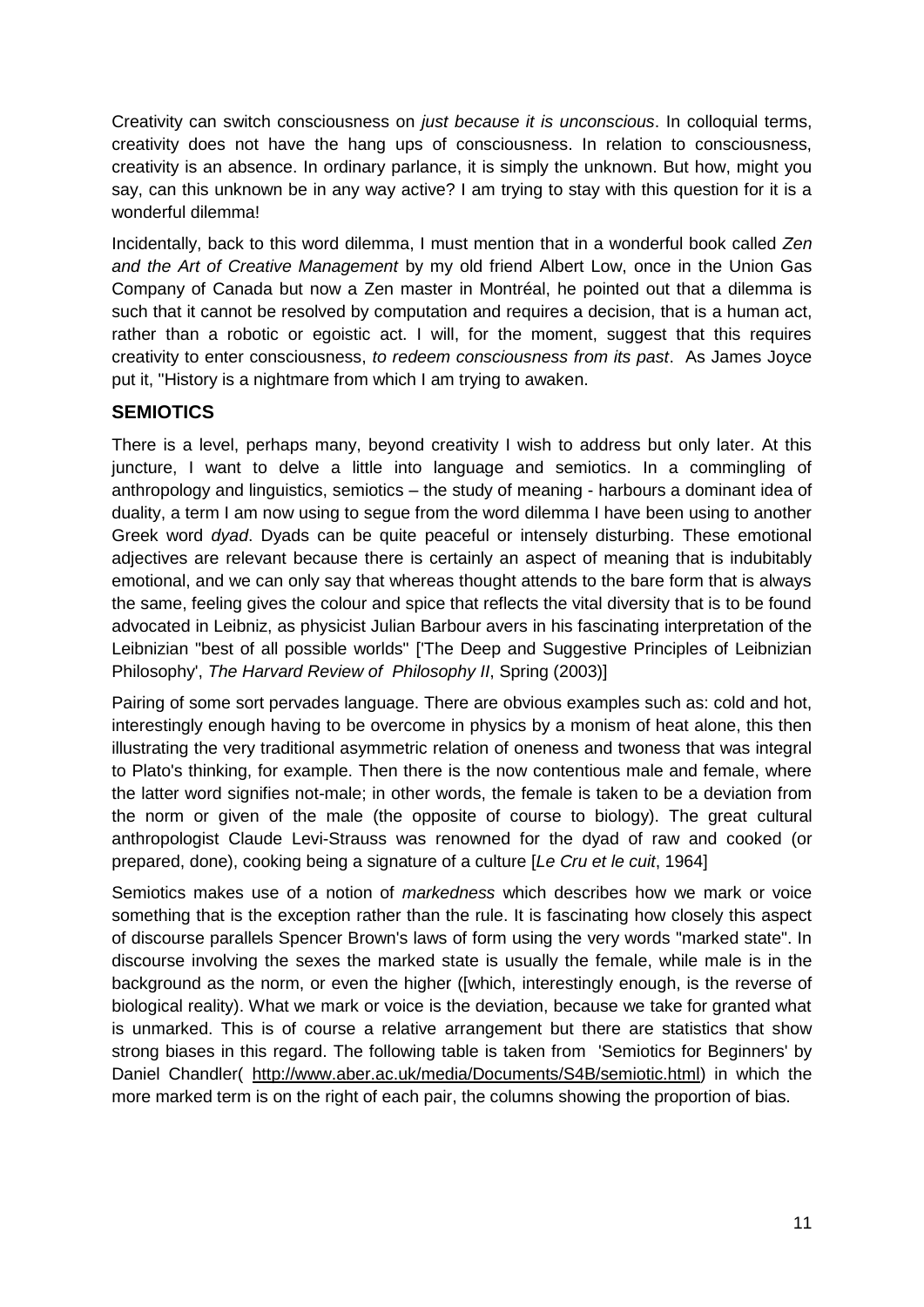Creativity can switch consciousness on *just because it is unconscious*. In colloquial terms, creativity does not have the hang ups of consciousness. In relation to consciousness, creativity is an absence. In ordinary parlance, it is simply the unknown. But how, might you say, can this unknown be in any way active? I am trying to stay with this question for it is a wonderful dilemma!

Incidentally, back to this word dilemma, I must mention that in a wonderful book called *Zen and the Art of Creative Management* by my old friend Albert Low, once in the Union Gas Company of Canada but now a Zen master in Montréal, he pointed out that a dilemma is such that it cannot be resolved by computation and requires a decision, that is a human act, rather than a robotic or egoistic act. I will, for the moment, suggest that this requires creativity to enter consciousness, *to redeem consciousness from its past*. As James Joyce put it, "History is a nightmare from which I am trying to awaken.

# **SEMIOTICS**

There is a level, perhaps many, beyond creativity I wish to address but only later. At this juncture, I want to delve a little into language and semiotics. In a commingling of anthropology and linguistics, semiotics – the study of meaning - harbours a dominant idea of duality, a term I am now using to segue from the word dilemma I have been using to another Greek word *dyad*. Dyads can be quite peaceful or intensely disturbing. These emotional adjectives are relevant because there is certainly an aspect of meaning that is indubitably emotional, and we can only say that whereas thought attends to the bare form that is always the same, feeling gives the colour and spice that reflects the vital diversity that is to be found advocated in Leibniz, as physicist Julian Barbour avers in his fascinating interpretation of the Leibnizian "best of all possible worlds" ['The Deep and Suggestive Principles of Leibnizian Philosophy', *The Harvard Review of Philosophy II*, Spring (2003)]

Pairing of some sort pervades language. There are obvious examples such as: cold and hot, interestingly enough having to be overcome in physics by a monism of heat alone, this then illustrating the very traditional asymmetric relation of oneness and twoness that was integral to Plato's thinking, for example. Then there is the now contentious male and female, where the latter word signifies not-male; in other words, the female is taken to be a deviation from the norm or given of the male (the opposite of course to biology). The great cultural anthropologist Claude Levi-Strauss was renowned for the dyad of raw and cooked (or prepared, done), cooking being a signature of a culture [*Le Cru et le cuit*, 1964]

Semiotics makes use of a notion of *markedness* which describes how we mark or voice something that is the exception rather than the rule. It is fascinating how closely this aspect of discourse parallels Spencer Brown's laws of form using the very words "marked state". In discourse involving the sexes the marked state is usually the female, while male is in the background as the norm, or even the higher ([which, interestingly enough, is the reverse of biological reality). What we mark or voice is the deviation, because we take for granted what is unmarked. This is of course a relative arrangement but there are statistics that show strong biases in this regard. The following table is taken from 'Semiotics for Beginners' by Daniel Chandler( [http://www.aber.ac.uk/media/Documents/S4B/semiotic.html\)](http://www.aber.ac.uk/media/Documents/S4B/semiotic.html) in which the more marked term is on the right of each pair, the columns showing the proportion of bias.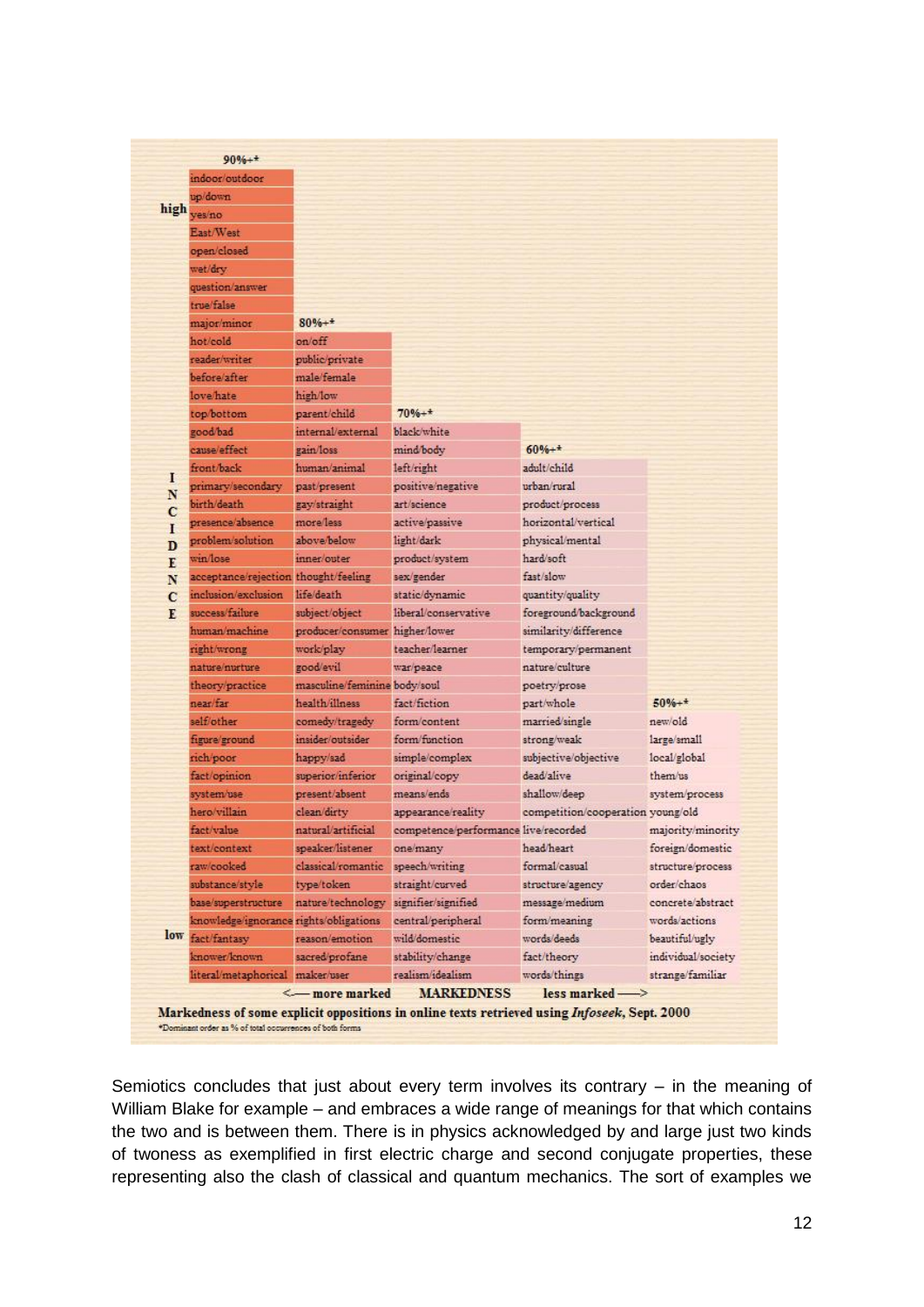|              | indoor/outdoor                         |                                       |                                      |                                   |                    |
|--------------|----------------------------------------|---------------------------------------|--------------------------------------|-----------------------------------|--------------------|
|              | up/down                                |                                       |                                      |                                   |                    |
| high         | yes/no                                 |                                       |                                      |                                   |                    |
|              | East/West                              |                                       |                                      |                                   |                    |
|              | open/closed                            |                                       |                                      |                                   |                    |
|              | wet/dry                                |                                       |                                      |                                   |                    |
|              | question/answer                        |                                       |                                      |                                   |                    |
|              | true/false                             |                                       |                                      |                                   |                    |
|              | major/minor                            | $80% +$                               |                                      |                                   |                    |
|              | hot/cold                               | on/off                                |                                      |                                   |                    |
|              | reader/writer                          | public/private                        |                                      |                                   |                    |
|              | before/after                           | male/female                           |                                      |                                   |                    |
|              | love/hate                              | high/low                              |                                      |                                   |                    |
|              | top/bottom                             | parent/child                          | $70% +$                              |                                   |                    |
|              | good/bad                               | internal/external                     | black/white                          |                                   |                    |
|              | cause/effect                           | gain/loss                             | mind/body                            | $60% +$                           |                    |
|              | front/back                             | human/animal                          | left/right                           | adult/child                       |                    |
| I<br>N       | primary/secondary                      | past/present                          | positive/negative                    | urban/rural                       |                    |
| $\mathbf C$  | birth/death                            | gay/straight                          | art/science                          | product/process                   |                    |
| I            | presence/absence                       | more/less                             | active/passive                       | horizontal/vertical               |                    |
| D            | problem/solution                       | above/below                           | light/dark                           | physical/mental                   |                    |
| E            | win/lose                               | inner/outer                           | product/system                       | hard/soft                         |                    |
| N            | acceptance/rejection thought/feeling   |                                       | sex/gender                           | fast/slow                         |                    |
| $\mathbf{C}$ | inclusion/exclusion                    | life/death                            | static/dynamic                       | quantity/quality                  |                    |
| E            | success/failure                        | subject/object                        | liberal/conservative                 | foreground/background             |                    |
|              | human/machine                          | producer/consumer higher/lower        |                                      | similarity/difference             |                    |
|              | right/wrong                            | work/play                             | teacher/learner                      | temporary/permanent               |                    |
|              | nature/nurture                         | good/evil                             | war/peace                            | nature/culture                    |                    |
|              | theory/practice                        | masculine/feminine body/soul          |                                      | poetry/prose                      |                    |
|              | near/far                               | health/illness                        | fact/fiction                         | part/whole                        | $50% +$            |
|              | self/other                             | comedy/tragedy                        | form/content                         | married/single                    | new/old            |
|              | figure/ground                          | insider/outsider                      | form/function                        | strong/weak                       | large/small        |
|              | rich poor                              | happy/sad                             | simple/complex                       | subjective/objective              | local/global       |
|              | fact/opinion                           | superior/inferior                     | original/copy                        | dead/alive                        | them/us            |
|              | system/use                             | present/absent                        | means/ends                           | shallow/deep                      | system/process     |
|              | hero/villain                           | clean/dirty                           | appearance/reality                   | competition/cooperation young/old |                    |
|              | fact/value                             | natural/artificial                    | competence/performance live/recorded |                                   | majority/minority  |
|              | text/context                           | speaker/listener                      | one/many.                            | head/heart                        | foreign/domestic   |
|              | raw/cooked                             | classical/romantic                    | speech/writing                       | formal/casual                     | structure/process  |
|              | substance/style                        | type/token                            | straight/curved                      | structure/agency                  | order/chaos        |
|              | base/superstructure                    | nature/technology signifier/signified |                                      | message/medium                    | concrete/abstract  |
|              | knowledge/ignorance rights/obligations |                                       | central/peripheral                   | form/meaning                      | words/actions      |
|              | low fact/fantasy                       | reason/emotion                        | wild/domestic                        | words/deeds                       | beautiful/ugly     |
|              | knower/known                           | sacred/profane                        | stability/change                     | fact/theory                       | individual/society |
|              | literal/metaphorical maker/user        |                                       | realism/idealism                     | words/things                      | strange/familiar   |
|              |                                        | <-- more marked                       | <b>MARKEDNESS</b>                    | less marked                       |                    |

Semiotics concludes that just about every term involves its contrary – in the meaning of William Blake for example – and embraces a wide range of meanings for that which contains the two and is between them. There is in physics acknowledged by and large just two kinds of twoness as exemplified in first electric charge and second conjugate properties, these representing also the clash of classical and quantum mechanics. The sort of examples we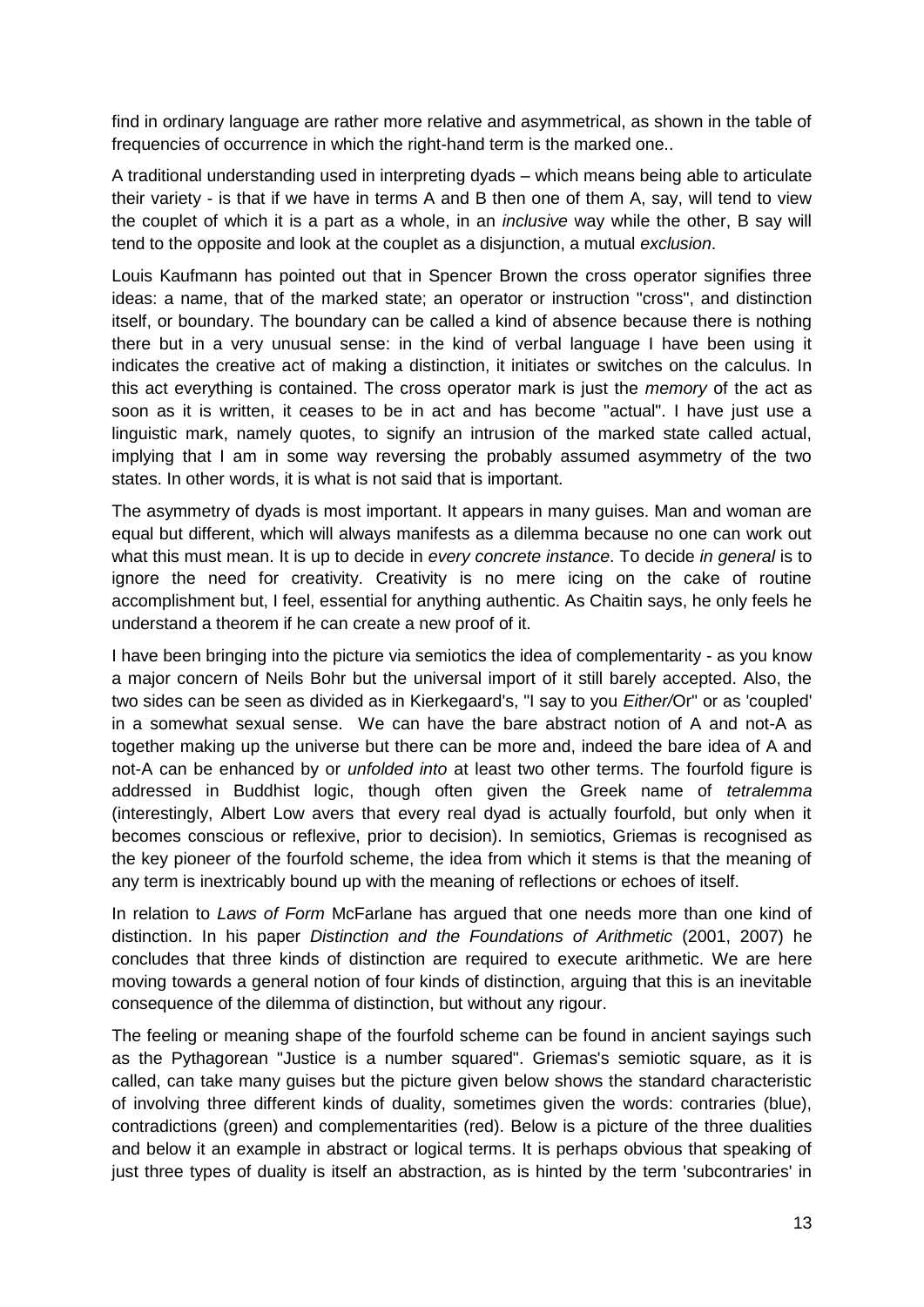find in ordinary language are rather more relative and asymmetrical, as shown in the table of frequencies of occurrence in which the right-hand term is the marked one..

A traditional understanding used in interpreting dyads – which means being able to articulate their variety - is that if we have in terms A and B then one of them A, say, will tend to view the couplet of which it is a part as a whole, in an *inclusive* way while the other, B say will tend to the opposite and look at the couplet as a disjunction, a mutual *exclusion*.

Louis Kaufmann has pointed out that in Spencer Brown the cross operator signifies three ideas: a name, that of the marked state; an operator or instruction "cross", and distinction itself, or boundary. The boundary can be called a kind of absence because there is nothing there but in a very unusual sense: in the kind of verbal language I have been using it indicates the creative act of making a distinction, it initiates or switches on the calculus. In this act everything is contained. The cross operator mark is just the *memory* of the act as soon as it is written, it ceases to be in act and has become "actual". I have just use a linguistic mark, namely quotes, to signify an intrusion of the marked state called actual, implying that I am in some way reversing the probably assumed asymmetry of the two states. In other words, it is what is not said that is important.

The asymmetry of dyads is most important. It appears in many guises. Man and woman are equal but different, which will always manifests as a dilemma because no one can work out what this must mean. It is up to decide in *every concrete instance*. To decide *in general* is to ignore the need for creativity. Creativity is no mere icing on the cake of routine accomplishment but, I feel, essential for anything authentic. As Chaitin says, he only feels he understand a theorem if he can create a new proof of it.

I have been bringing into the picture via semiotics the idea of complementarity - as you know a major concern of Neils Bohr but the universal import of it still barely accepted. Also, the two sides can be seen as divided as in Kierkegaard's, "I say to you *Either/*Or" or as 'coupled' in a somewhat sexual sense. We can have the bare abstract notion of A and not-A as together making up the universe but there can be more and, indeed the bare idea of A and not-A can be enhanced by or *unfolded into* at least two other terms. The fourfold figure is addressed in Buddhist logic, though often given the Greek name of *tetralemma* (interestingly, Albert Low avers that every real dyad is actually fourfold, but only when it becomes conscious or reflexive, prior to decision). In semiotics, Griemas is recognised as the key pioneer of the fourfold scheme, the idea from which it stems is that the meaning of any term is inextricably bound up with the meaning of reflections or echoes of itself.

In relation to *Laws of Form* McFarlane has argued that one needs more than one kind of distinction. In his paper *Distinction and the Foundations of Arithmetic* (2001, 2007) he concludes that three kinds of distinction are required to execute arithmetic. We are here moving towards a general notion of four kinds of distinction, arguing that this is an inevitable consequence of the dilemma of distinction, but without any rigour.

The feeling or meaning shape of the fourfold scheme can be found in ancient sayings such as the Pythagorean "Justice is a number squared". Griemas's semiotic square, as it is called, can take many guises but the picture given below shows the standard characteristic of involving three different kinds of duality, sometimes given the words: contraries (blue), contradictions (green) and complementarities (red). Below is a picture of the three dualities and below it an example in abstract or logical terms. It is perhaps obvious that speaking of just three types of duality is itself an abstraction, as is hinted by the term 'subcontraries' in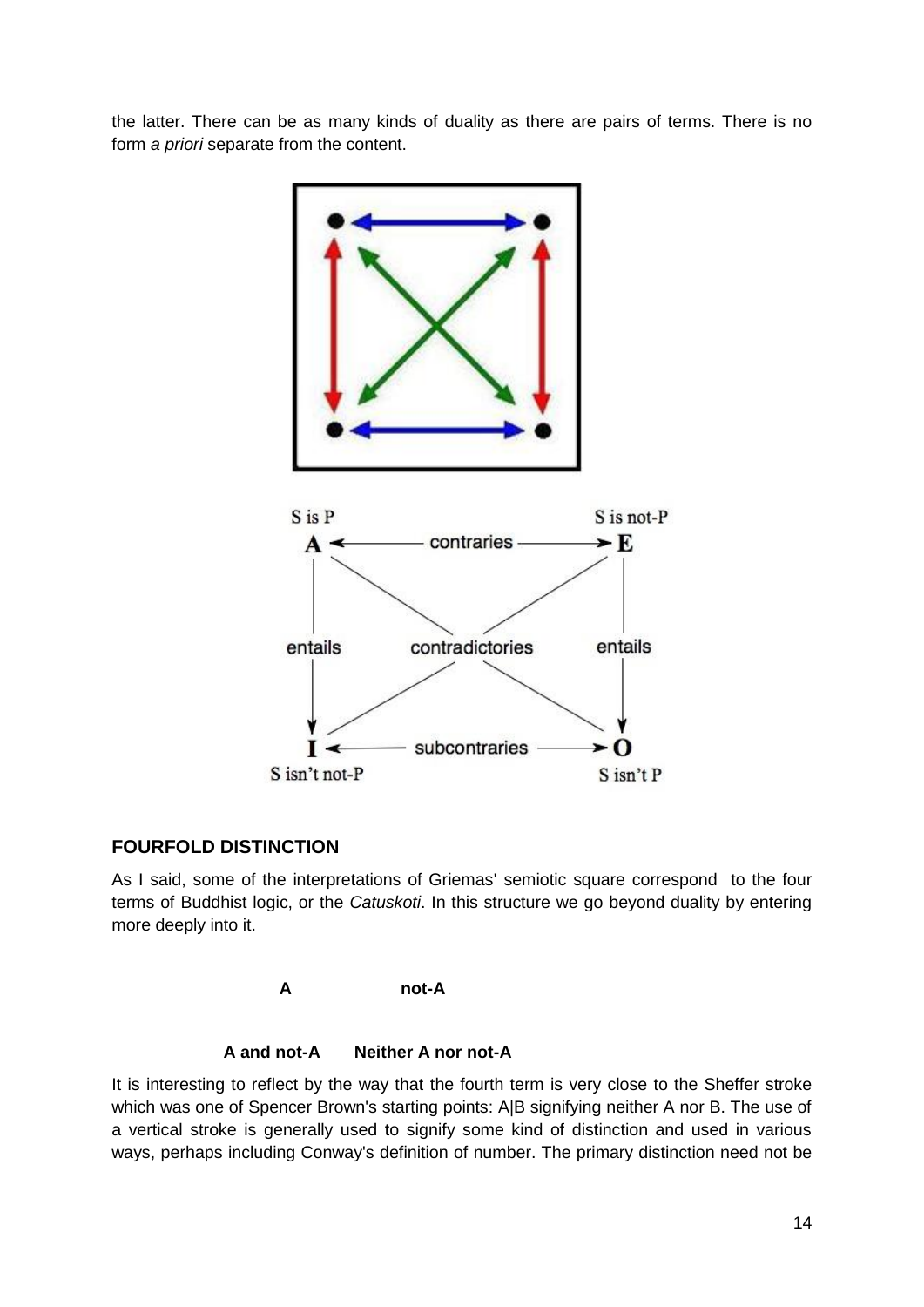the latter. There can be as many kinds of duality as there are pairs of terms. There is no form *a priori* separate from the content.



## **FOURFOLD DISTINCTION**

As I said, some of the interpretations of Griemas' semiotic square correspond to the four terms of Buddhist logic, or the *Catuskoti*. In this structure we go beyond duality by entering more deeply into it.



**A and not-A Neither A nor not-A**

It is interesting to reflect by the way that the fourth term is very close to the Sheffer stroke which was one of Spencer Brown's starting points: A|B signifying neither A nor B. The use of a vertical stroke is generally used to signify some kind of distinction and used in various ways, perhaps including Conway's definition of number. The primary distinction need not be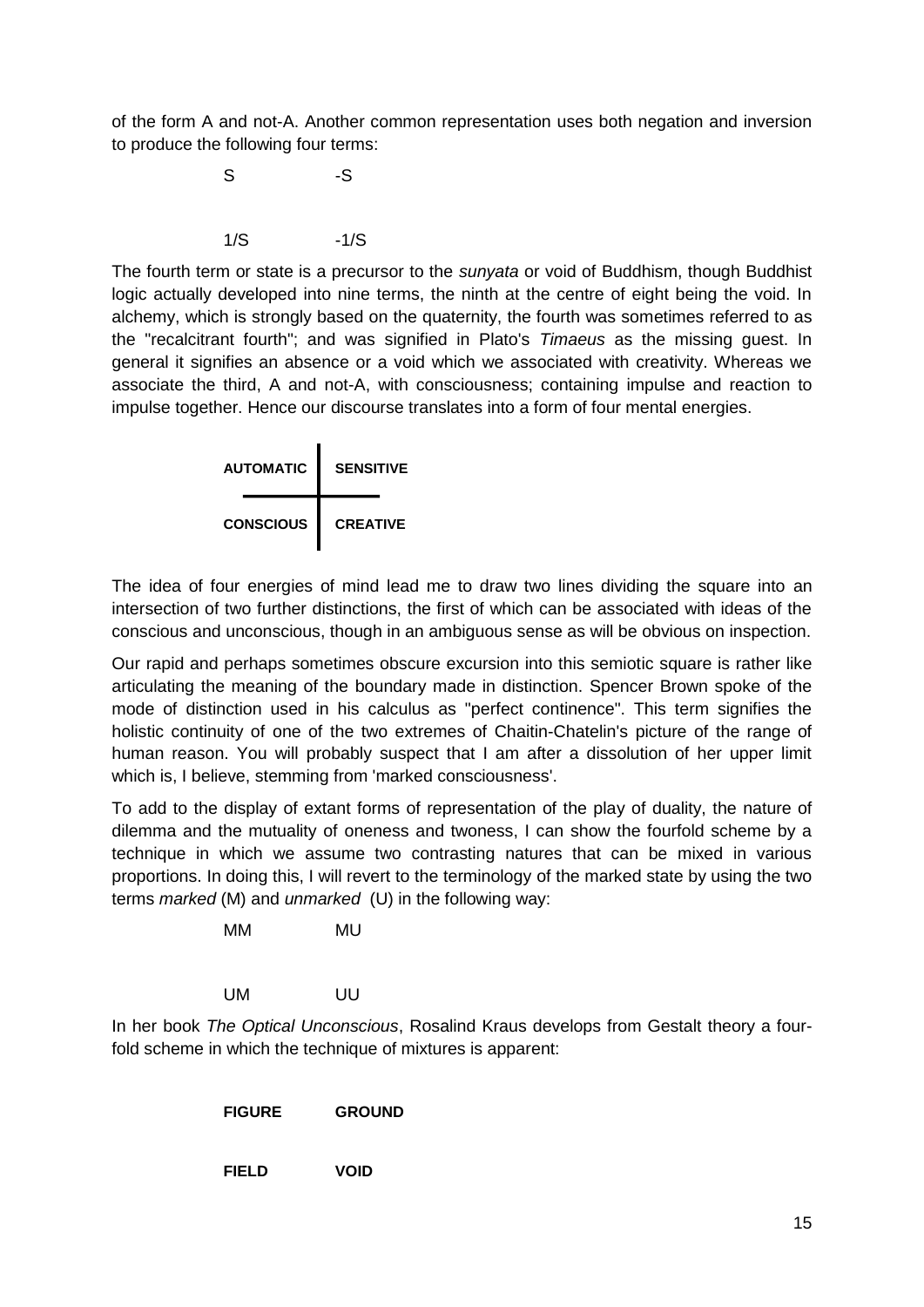of the form A and not-A. Another common representation uses both negation and inversion to produce the following four terms:

> S -S  $1/S$   $-1/S$

The fourth term or state is a precursor to the *sunyata* or void of Buddhism, though Buddhist logic actually developed into nine terms, the ninth at the centre of eight being the void. In alchemy, which is strongly based on the quaternity, the fourth was sometimes referred to as the "recalcitrant fourth"; and was signified in Plato's *Timaeus* as the missing guest. In general it signifies an absence or a void which we associated with creativity. Whereas we associate the third, A and not-A, with consciousness; containing impulse and reaction to impulse together. Hence our discourse translates into a form of four mental energies.



The idea of four energies of mind lead me to draw two lines dividing the square into an intersection of two further distinctions, the first of which can be associated with ideas of the conscious and unconscious, though in an ambiguous sense as will be obvious on inspection.

Our rapid and perhaps sometimes obscure excursion into this semiotic square is rather like articulating the meaning of the boundary made in distinction. Spencer Brown spoke of the mode of distinction used in his calculus as "perfect continence". This term signifies the holistic continuity of one of the two extremes of Chaitin-Chatelin's picture of the range of human reason. You will probably suspect that I am after a dissolution of her upper limit which is, I believe, stemming from 'marked consciousness'.

To add to the display of extant forms of representation of the play of duality, the nature of dilemma and the mutuality of oneness and twoness, I can show the fourfold scheme by a technique in which we assume two contrasting natures that can be mixed in various proportions. In doing this, I will revert to the terminology of the marked state by using the two terms *marked* (M) and *unmarked* (U) in the following way:

MM MU

UM UU

In her book *The Optical Unconscious*, Rosalind Kraus develops from Gestalt theory a fourfold scheme in which the technique of mixtures is apparent:

**FIELD VOID**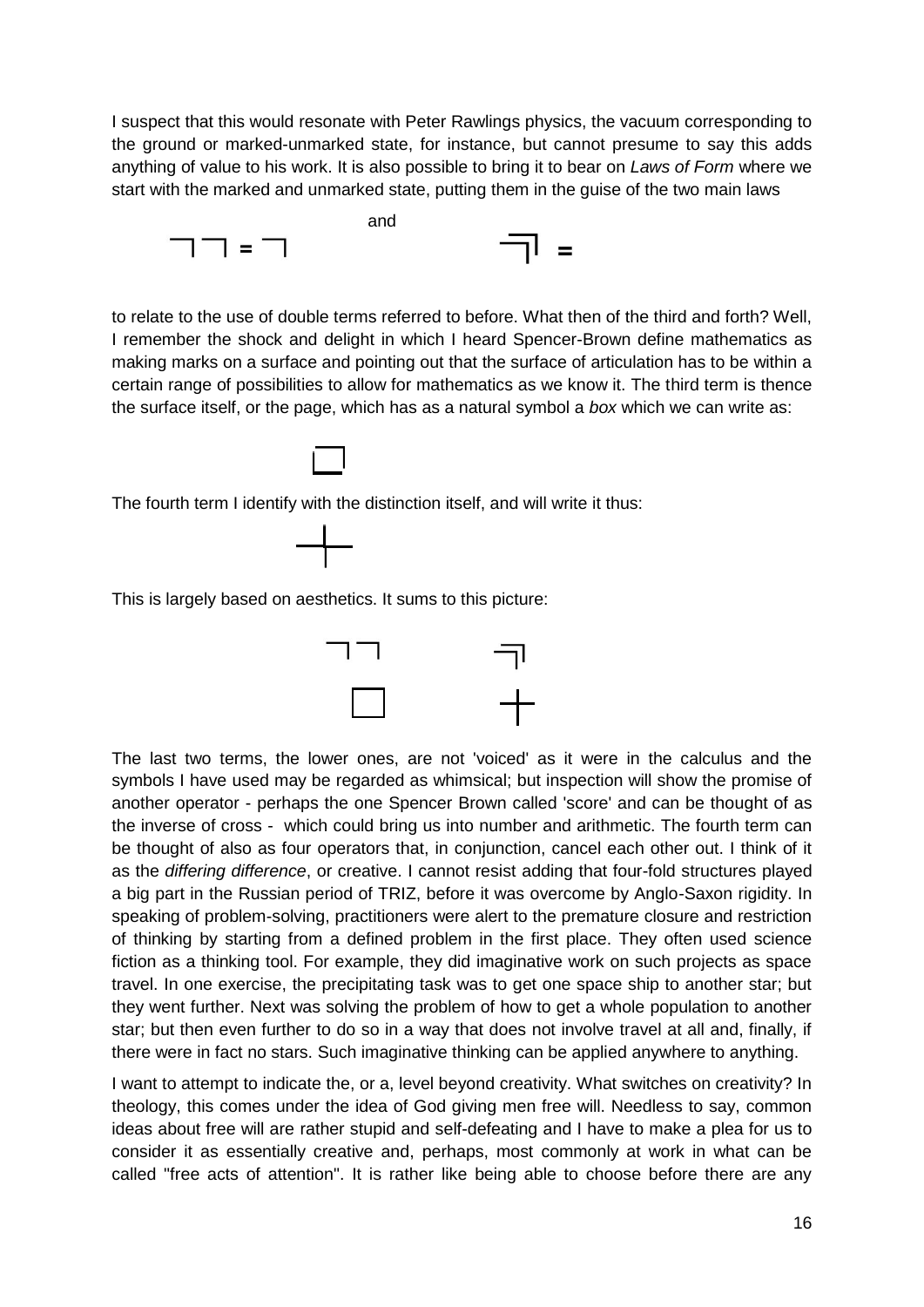I suspect that this would resonate with Peter Rawlings physics, the vacuum corresponding to the ground or marked-unmarked state, for instance, but cannot presume to say this adds anything of value to his work. It is also possible to bring it to bear on *Laws of Form* where we start with the marked and unmarked state, putting them in the guise of the two main laws



to relate to the use of double terms referred to before. What then of the third and forth? Well, I remember the shock and delight in which I heard Spencer-Brown define mathematics as making marks on a surface and pointing out that the surface of articulation has to be within a certain range of possibilities to allow for mathematics as we know it. The third term is thence the surface itself, or the page, which has as a natural symbol a *box* which we can write as:

The fourth term I identify with the distinction itself, and will write it thus:



This is largely based on aesthetics. It sums to this picture:



The last two terms, the lower ones, are not 'voiced' as it were in the calculus and the symbols I have used may be regarded as whimsical; but inspection will show the promise of another operator - perhaps the one Spencer Brown called 'score' and can be thought of as the inverse of cross - which could bring us into number and arithmetic. The fourth term can be thought of also as four operators that, in conjunction, cancel each other out. I think of it as the *differing difference*, or creative. I cannot resist adding that four-fold structures played a big part in the Russian period of TRIZ, before it was overcome by Anglo-Saxon rigidity. In speaking of problem-solving, practitioners were alert to the premature closure and restriction of thinking by starting from a defined problem in the first place. They often used science fiction as a thinking tool. For example, they did imaginative work on such projects as space travel. In one exercise, the precipitating task was to get one space ship to another star; but they went further. Next was solving the problem of how to get a whole population to another star; but then even further to do so in a way that does not involve travel at all and, finally, if there were in fact no stars. Such imaginative thinking can be applied anywhere to anything.

I want to attempt to indicate the, or a, level beyond creativity. What switches on creativity? In theology, this comes under the idea of God giving men free will. Needless to say, common ideas about free will are rather stupid and self-defeating and I have to make a plea for us to consider it as essentially creative and, perhaps, most commonly at work in what can be called "free acts of attention". It is rather like being able to choose before there are any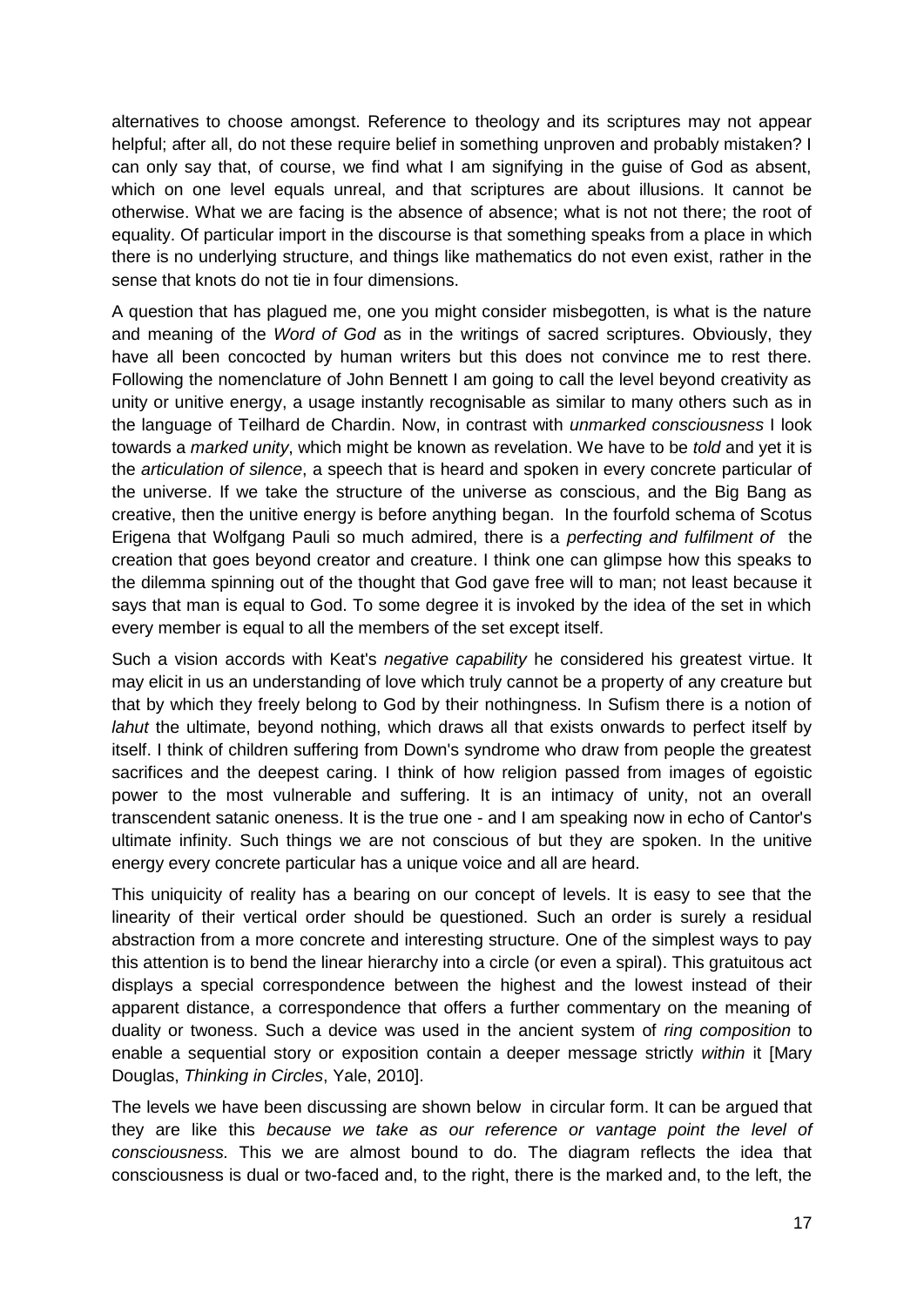alternatives to choose amongst. Reference to theology and its scriptures may not appear helpful; after all, do not these require belief in something unproven and probably mistaken? I can only say that, of course, we find what I am signifying in the guise of God as absent, which on one level equals unreal, and that scriptures are about illusions. It cannot be otherwise. What we are facing is the absence of absence; what is not not there; the root of equality. Of particular import in the discourse is that something speaks from a place in which there is no underlying structure, and things like mathematics do not even exist, rather in the sense that knots do not tie in four dimensions.

A question that has plagued me, one you might consider misbegotten, is what is the nature and meaning of the *Word of God* as in the writings of sacred scriptures. Obviously, they have all been concocted by human writers but this does not convince me to rest there. Following the nomenclature of John Bennett I am going to call the level beyond creativity as unity or unitive energy, a usage instantly recognisable as similar to many others such as in the language of Teilhard de Chardin. Now, in contrast with *unmarked consciousness* I look towards a *marked unity*, which might be known as revelation. We have to be *told* and yet it is the *articulation of silence*, a speech that is heard and spoken in every concrete particular of the universe. If we take the structure of the universe as conscious, and the Big Bang as creative, then the unitive energy is before anything began. In the fourfold schema of Scotus Erigena that Wolfgang Pauli so much admired, there is a *perfecting and fulfilment of* the creation that goes beyond creator and creature. I think one can glimpse how this speaks to the dilemma spinning out of the thought that God gave free will to man; not least because it says that man is equal to God. To some degree it is invoked by the idea of the set in which every member is equal to all the members of the set except itself.

Such a vision accords with Keat's *negative capability* he considered his greatest virtue. It may elicit in us an understanding of love which truly cannot be a property of any creature but that by which they freely belong to God by their nothingness. In Sufism there is a notion of *lahut* the ultimate, beyond nothing, which draws all that exists onwards to perfect itself by itself. I think of children suffering from Down's syndrome who draw from people the greatest sacrifices and the deepest caring. I think of how religion passed from images of egoistic power to the most vulnerable and suffering. It is an intimacy of unity, not an overall transcendent satanic oneness. It is the true one - and I am speaking now in echo of Cantor's ultimate infinity. Such things we are not conscious of but they are spoken. In the unitive energy every concrete particular has a unique voice and all are heard.

This uniquicity of reality has a bearing on our concept of levels. It is easy to see that the linearity of their vertical order should be questioned. Such an order is surely a residual abstraction from a more concrete and interesting structure. One of the simplest ways to pay this attention is to bend the linear hierarchy into a circle (or even a spiral). This gratuitous act displays a special correspondence between the highest and the lowest instead of their apparent distance, a correspondence that offers a further commentary on the meaning of duality or twoness. Such a device was used in the ancient system of *ring composition* to enable a sequential story or exposition contain a deeper message strictly *within* it [Mary Douglas, *Thinking in Circles*, Yale, 2010].

The levels we have been discussing are shown below in circular form. It can be argued that they are like this *because we take as our reference or vantage point the level of consciousness.* This we are almost bound to do. The diagram reflects the idea that consciousness is dual or two-faced and, to the right, there is the marked and, to the left, the